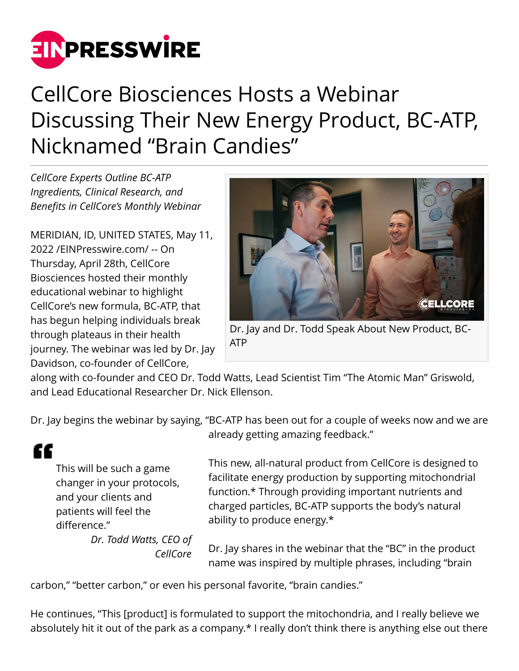

## CellCore Biosciences Hosts a Webinar Discussing Their New Energy Product, BC-ATP, Nicknamed "Brain Candies"

*CellCore Experts Outline BC-ATP Ingredients, Clinical Research, and Benefits in CellCore's Monthly Webinar*

MERIDIAN, ID, UNITED STATES, May 11, 2022 /[EINPresswire.com](http://www.einpresswire.com)/ -- On Thursday, April 28th, CellCore Biosciences hosted their monthly educational webinar to highlight CellCore's new formula, BC-ATP, that has begun helping individuals break through plateaus in their health journey. The webinar was led by Dr. Jay Davidson, co-founder of CellCore,



Dr. Jay and Dr. Todd Speak About New Product, BC-ATP

along with co-founder and CEO Dr. Todd Watts, Lead Scientist Tim "The Atomic Man" Griswold, and Lead Educational Researcher Dr. Nick Ellenson.

Dr. Jay begins the webinar by saying, "BC-ATP has been out for a couple of weeks now and we are

## ££

This will be such a game changer in your protocols, and your clients and patients will feel the difference."

> *Dr. Todd Watts, CEO of CellCore*

already getting amazing feedback."

This new, all-natural product from CellCore is designed to facilitate energy production by supporting mitochondrial function.\* Through providing important nutrients and charged particles, BC-ATP supports the body's natural ability to produce energy.\*

Dr. Jay shares in the webinar that the "BC" in the product name was inspired by multiple phrases, including "brain

carbon," "better carbon," or even his personal favorite, "brain candies."

He continues, "This [product] is formulated to support the mitochondria, and I really believe we absolutely hit it out of the park as a company.\* I really don't think there is anything else out there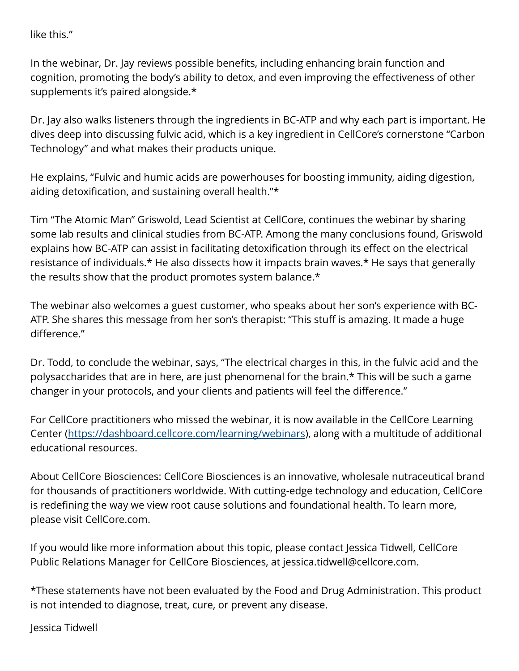like this."

In the webinar, Dr. Jay reviews possible benefits, including enhancing brain function and cognition, promoting the body's ability to detox, and even improving the effectiveness of other supplements it's paired alongside.\*

Dr. Jay also walks listeners through the ingredients in BC-ATP and why each part is important. He dives deep into discussing fulvic acid, which is a key ingredient in CellCore's cornerstone "Carbon Technology" and what makes their products unique.

He explains, "Fulvic and humic acids are powerhouses for boosting immunity, aiding digestion, aiding detoxification, and sustaining overall health."\*

Tim "The Atomic Man" Griswold, Lead Scientist at CellCore, continues the webinar by sharing some lab results and clinical studies from BC-ATP. Among the many conclusions found, Griswold explains how BC-ATP can assist in facilitating detoxification through its effect on the electrical resistance of individuals.\* He also dissects how it impacts brain waves.\* He says that generally the results show that the product promotes system balance.\*

The webinar also welcomes a guest customer, who speaks about her son's experience with BC-ATP. She shares this message from her son's therapist: "This stuff is amazing. It made a huge difference."

Dr. Todd, to conclude the webinar, says, "The electrical charges in this, in the fulvic acid and the polysaccharides that are in here, are just phenomenal for the brain.\* This will be such a game changer in your protocols, and your clients and patients will feel the difference."

For CellCore practitioners who missed the webinar, it is now available in the CellCore Learning Center [\(https://dashboard.cellcore.com/learning/webinars](https://dashboard.cellcore.com/learning/webinars)), along with a multitude of additional educational resources.

About CellCore Biosciences: CellCore Biosciences is an innovative, wholesale nutraceutical brand for thousands of practitioners worldwide. With cutting-edge technology and education, CellCore is redefining the way we view root cause solutions and foundational health. To learn more, please visit CellCore.com.

If you would like more information about this topic, please contact Jessica Tidwell, CellCore Public Relations Manager for CellCore Biosciences, at jessica.tidwell@cellcore.com.

\*These statements have not been evaluated by the Food and Drug Administration. This product is not intended to diagnose, treat, cure, or prevent any disease.

Jessica Tidwell